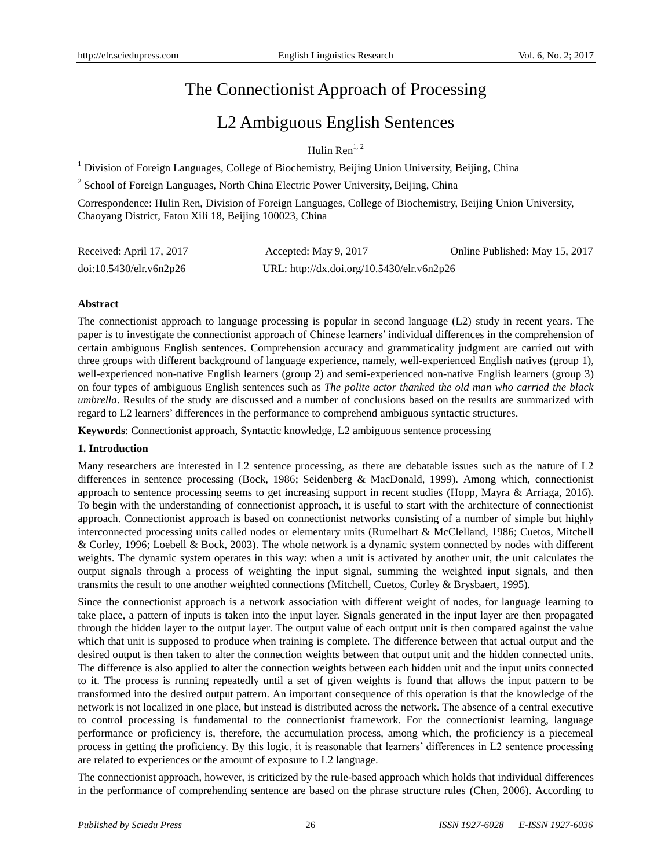# The Connectionist Approach of Processing

## L2 Ambiguous English Sentences

Hulin  $\text{Ren}^{1,2}$ 

<sup>1</sup> Division of Foreign Languages, College of Biochemistry, Beijing Union University, Beijing, China

<sup>2</sup> School of Foreign Languages, North China Electric Power University, Beijing, China

Correspondence: Hulin Ren, Division of Foreign Languages, College of Biochemistry, Beijing Union University, Chaoyang District, Fatou Xili 18, Beijing 100023, China

| Received: April 17, 2017 | Accepted: May 9, 2017                      | Online Published: May 15, 2017 |
|--------------------------|--------------------------------------------|--------------------------------|
| doi:10.5430/elr.v6n2p26  | URL: http://dx.doi.org/10.5430/elr.v6n2p26 |                                |

## **Abstract**

The connectionist approach to language processing is popular in second language (L2) study in recent years. The paper is to investigate the connectionist approach of Chinese learners' individual differences in the comprehension of certain ambiguous English sentences. Comprehension accuracy and grammaticality judgment are carried out with three groups with different background of language experience, namely, well-experienced English natives (group 1), well-experienced non-native English learners (group 2) and semi-experienced non-native English learners (group 3) on four types of ambiguous English sentences such as *The polite actor thanked the old man who carried the black umbrella*. Results of the study are discussed and a number of conclusions based on the results are summarized with regard to L2 learners' differences in the performance to comprehend ambiguous syntactic structures.

**Keywords**: Connectionist approach, Syntactic knowledge, L2 ambiguous sentence processing

#### **1. Introduction**

Many researchers are interested in L2 sentence processing, as there are debatable issues such as the nature of L2 differences in sentence processing (Bock, 1986; Seidenberg & MacDonald, 1999). Among which, connectionist approach to sentence processing seems to get increasing support in recent studies (Hopp, Mayra & Arriaga, 2016). To begin with the understanding of connectionist approach, it is useful to start with the architecture of connectionist approach. Connectionist approach is based on connectionist networks consisting of a number of simple but highly interconnected processing units called nodes or elementary units (Rumelhart & McClelland, 1986; Cuetos, Mitchell & Corley, 1996; Loebell & Bock, 2003). The whole network is a dynamic system connected by nodes with different weights. The dynamic system operates in this way: when a unit is activated by another unit, the unit calculates the output signals through a process of weighting the input signal, summing the weighted input signals, and then transmits the result to one another weighted connections (Mitchell, Cuetos, Corley & Brysbaert, 1995).

Since the connectionist approach is a network association with different weight of nodes, for language learning to take place, a pattern of inputs is taken into the input layer. Signals generated in the input layer are then propagated through the hidden layer to the output layer. The output value of each output unit is then compared against the value which that unit is supposed to produce when training is complete. The difference between that actual output and the desired output is then taken to alter the connection weights between that output unit and the hidden connected units. The difference is also applied to alter the connection weights between each hidden unit and the input units connected to it. The process is running repeatedly until a set of given weights is found that allows the input pattern to be transformed into the desired output pattern. An important consequence of this operation is that the knowledge of the network is not localized in one place, but instead is distributed across the network. The absence of a central executive to control processing is fundamental to the connectionist framework. For the connectionist learning, language performance or proficiency is, therefore, the accumulation process, among which, the proficiency is a piecemeal process in getting the proficiency. By this logic, it is reasonable that learners' differences in L2 sentence processing are related to experiences or the amount of exposure to L2 language.

The connectionist approach, however, is criticized by the rule-based approach which holds that individual differences in the performance of comprehending sentence are based on the phrase structure rules (Chen, 2006). According to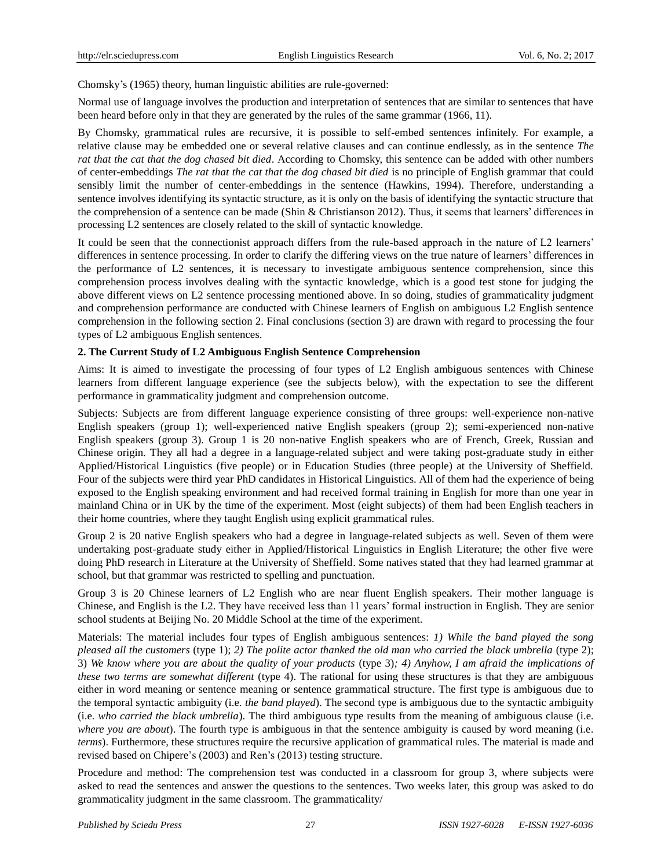Chomsky's (1965) theory, human linguistic abilities are rule-governed:

Normal use of language involves the production and interpretation of sentences that are similar to sentences that have been heard before only in that they are generated by the rules of the same grammar (1966, 11).

By Chomsky, grammatical rules are recursive, it is possible to self-embed sentences infinitely. For example, a relative clause may be embedded one or several relative clauses and can continue endlessly, as in the sentence *The rat that the cat that the dog chased bit died*. According to Chomsky, this sentence can be added with other numbers of center-embeddings *The rat that the cat that the dog chased bit died* is no principle of English grammar that could sensibly limit the number of center-embeddings in the sentence (Hawkins, 1994). Therefore, understanding a sentence involves identifying its syntactic structure, as it is only on the basis of identifying the syntactic structure that the comprehension of a sentence can be made (Shin & Christianson 2012). Thus, it seems that learners' differences in processing L2 sentences are closely related to the skill of syntactic knowledge.

It could be seen that the connectionist approach differs from the rule-based approach in the nature of L2 learners' differences in sentence processing. In order to clarify the differing views on the true nature of learners' differences in the performance of L2 sentences, it is necessary to investigate ambiguous sentence comprehension, since this comprehension process involves dealing with the syntactic knowledge, which is a good test stone for judging the above different views on L2 sentence processing mentioned above. In so doing, studies of grammaticality judgment and comprehension performance are conducted with Chinese learners of English on ambiguous L2 English sentence comprehension in the following section 2. Final conclusions (section 3) are drawn with regard to processing the four types of L2 ambiguous English sentences.

## **2. The Current Study of L2 Ambiguous English Sentence Comprehension**

Aims: It is aimed to investigate the processing of four types of L2 English ambiguous sentences with Chinese learners from different language experience (see the subjects below), with the expectation to see the different performance in grammaticality judgment and comprehension outcome.

Subjects: Subjects are from different language experience consisting of three groups: well-experience non-native English speakers (group 1); well-experienced native English speakers (group 2); semi-experienced non-native English speakers (group 3). Group 1 is 20 non-native English speakers who are of French, Greek, Russian and Chinese origin. They all had a degree in a language-related subject and were taking post-graduate study in either Applied/Historical Linguistics (five people) or in Education Studies (three people) at the University of Sheffield. Four of the subjects were third year PhD candidates in Historical Linguistics. All of them had the experience of being exposed to the English speaking environment and had received formal training in English for more than one year in mainland China or in UK by the time of the experiment. Most (eight subjects) of them had been English teachers in their home countries, where they taught English using explicit grammatical rules.

Group 2 is 20 native English speakers who had a degree in language-related subjects as well. Seven of them were undertaking post-graduate study either in Applied/Historical Linguistics in English Literature; the other five were doing PhD research in Literature at the University of Sheffield. Some natives stated that they had learned grammar at school, but that grammar was restricted to spelling and punctuation.

Group 3 is 20 Chinese learners of L2 English who are near fluent English speakers. Their mother language is Chinese, and English is the L2. They have received less than 11 years' formal instruction in English. They are senior school students at Beijing No. 20 Middle School at the time of the experiment.

Materials: The material includes four types of English ambiguous sentences: *1) While the band played the song pleased all the customers* (type 1); *2) The polite actor thanked the old man who carried the black umbrella* (type 2); 3) *We know where you are about the quality of your products* (type 3)*; 4) Anyhow, I am afraid the implications of these two terms are somewhat different* (type 4). The rational for using these structures is that they are ambiguous either in word meaning or sentence meaning or sentence grammatical structure. The first type is ambiguous due to the temporal syntactic ambiguity (i.e*. the band played*). The second type is ambiguous due to the syntactic ambiguity (i.e*. who carried the black umbrella*). The third ambiguous type results from the meaning of ambiguous clause (i.e*. where you are about*). The fourth type is ambiguous in that the sentence ambiguity is caused by word meaning (i.e*. terms*). Furthermore, these structures require the recursive application of grammatical rules. The material is made and revised based on Chipere's (2003) and Ren's (2013) testing structure.

Procedure and method: The comprehension test was conducted in a classroom for group 3, where subjects were asked to read the sentences and answer the questions to the sentences. Two weeks later, this group was asked to do grammaticality judgment in the same classroom. The grammaticality/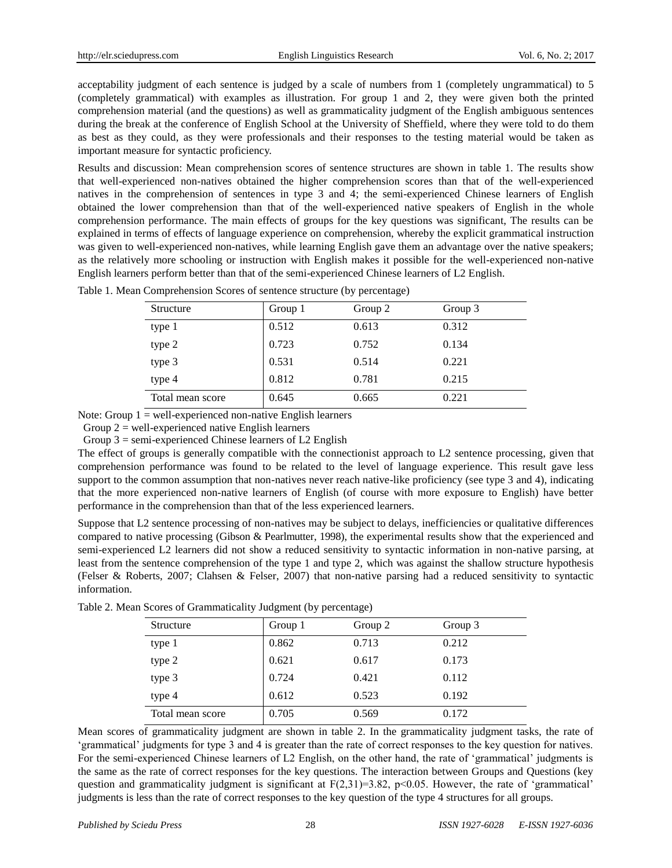acceptability judgment of each sentence is judged by a scale of numbers from 1 (completely ungrammatical) to 5 (completely grammatical) with examples as illustration. For group 1 and 2, they were given both the printed comprehension material (and the questions) as well as grammaticality judgment of the English ambiguous sentences during the break at the conference of English School at the University of Sheffield, where they were told to do them as best as they could, as they were professionals and their responses to the testing material would be taken as important measure for syntactic proficiency.

Results and discussion: Mean comprehension scores of sentence structures are shown in table 1. The results show that well-experienced non-natives obtained the higher comprehension scores than that of the well-experienced natives in the comprehension of sentences in type 3 and 4; the semi-experienced Chinese learners of English obtained the lower comprehension than that of the well-experienced native speakers of English in the whole comprehension performance. The main effects of groups for the key questions was significant, The results can be explained in terms of effects of language experience on comprehension, whereby the explicit grammatical instruction was given to well-experienced non-natives, while learning English gave them an advantage over the native speakers; as the relatively more schooling or instruction with English makes it possible for the well-experienced non-native English learners perform better than that of the semi-experienced Chinese learners of L2 English.

| Structure        | Group 1 | Group 2 | Group 3 |
|------------------|---------|---------|---------|
| type 1           | 0.512   | 0.613   | 0.312   |
| type 2           | 0.723   | 0.752   | 0.134   |
| type 3           | 0.531   | 0.514   | 0.221   |
| type 4           | 0.812   | 0.781   | 0.215   |
| Total mean score | 0.645   | 0.665   | 0.221   |

Table 1. Mean Comprehension Scores of sentence structure (by percentage)

Note: Group  $1 =$  well-experienced non-native English learners

Group  $2$  = well-experienced native English learners

Group  $3 =$  semi-experienced Chinese learners of L2 English

The effect of groups is generally compatible with the connectionist approach to L2 sentence processing, given that comprehension performance was found to be related to the level of language experience. This result gave less support to the common assumption that non-natives never reach native-like proficiency (see type 3 and 4), indicating that the more experienced non-native learners of English (of course with more exposure to English) have better performance in the comprehension than that of the less experienced learners.

Suppose that L2 sentence processing of non-natives may be subject to delays, inefficiencies or qualitative differences compared to native processing (Gibson & Pearlmutter, 1998), the experimental results show that the experienced and semi-experienced L2 learners did not show a reduced sensitivity to syntactic information in non-native parsing, at least from the sentence comprehension of the type 1 and type 2, which was against the shallow structure hypothesis (Felser & Roberts, 2007; Clahsen & Felser, 2007) that non-native parsing had a reduced sensitivity to syntactic information.

| Structure        | Group 1 | Group 2 | Group 3 |
|------------------|---------|---------|---------|
| type 1           | 0.862   | 0.713   | 0.212   |
| type 2           | 0.621   | 0.617   | 0.173   |
| type 3           | 0.724   | 0.421   | 0.112   |
| type 4           | 0.612   | 0.523   | 0.192   |
| Total mean score | 0.705   | 0.569   | 0.172   |

Table 2. Mean Scores of Grammaticality Judgment (by percentage)

Mean scores of grammaticality judgment are shown in table 2. In the grammaticality judgment tasks, the rate of 'grammatical' judgments for type 3 and 4 is greater than the rate of correct responses to the key question for natives. For the semi-experienced Chinese learners of L2 English, on the other hand, the rate of 'grammatical' judgments is the same as the rate of correct responses for the key questions. The interaction between Groups and Questions (key question and grammaticality judgment is significant at  $F(2,31)=3.82$ ,  $p<0.05$ . However, the rate of 'grammatical' judgments is less than the rate of correct responses to the key question of the type 4 structures for all groups.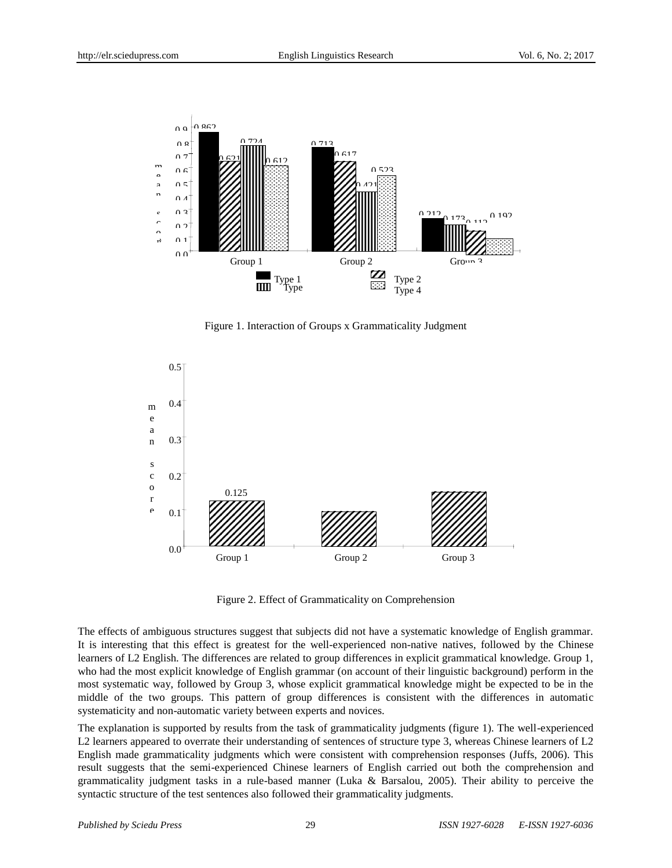

Figure 1. Interaction of Groups x Grammaticality Judgment



Figure 2. Effect of Grammaticality on Comprehension

The effects of ambiguous structures suggest that subjects did not have a systematic knowledge of English grammar. It is interesting that this effect is greatest for the well-experienced non-native natives, followed by the Chinese learners of L2 English. The differences are related to group differences in explicit grammatical knowledge. Group 1, who had the most explicit knowledge of English grammar (on account of their linguistic background) perform in the most systematic way, followed by Group 3, whose explicit grammatical knowledge might be expected to be in the middle of the two groups. This pattern of group differences is consistent with the differences in automatic systematicity and non-automatic variety between experts and novices.

The explanation is supported by results from the task of grammaticality judgments (figure 1). The well-experienced L2 learners appeared to overrate their understanding of sentences of structure type 3, whereas Chinese learners of L2 English made grammaticality judgments which were consistent with comprehension responses (Juffs, 2006). This result suggests that the semi-experienced Chinese learners of English carried out both the comprehension and grammaticality judgment tasks in a rule-based manner (Luka & Barsalou, 2005). Their ability to perceive the syntactic structure of the test sentences also followed their grammaticality judgments.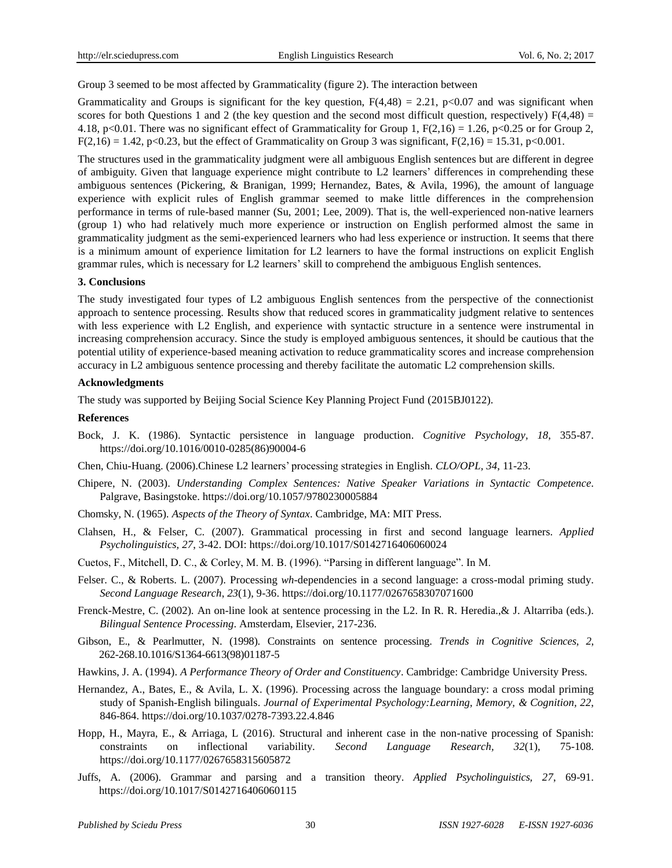Group 3 seemed to be most affected by Grammaticality (figure 2). The interaction between

Grammaticality and Groups is significant for the key question,  $F(4,48) = 2.21$ , p<0.07 and was significant when scores for both Questions 1 and 2 (the key question and the second most difficult question, respectively)  $F(4,48) =$ 4.18, p<0.01. There was no significant effect of Grammaticality for Group 1,  $F(2,16) = 1.26$ , p<0.25 or for Group 2,  $F(2,16) = 1.42$ , p<0.23, but the effect of Grammaticality on Group 3 was significant,  $F(2,16) = 15.31$ , p<0.001.

The structures used in the grammaticality judgment were all ambiguous English sentences but are different in degree of ambiguity. Given that language experience might contribute to L2 learners' differences in comprehending these ambiguous sentences (Pickering, & Branigan, 1999; Hernandez, Bates, & Avila, 1996), the amount of language experience with explicit rules of English grammar seemed to make little differences in the comprehension performance in terms of rule-based manner (Su, 2001; Lee, 2009). That is, the well-experienced non-native learners (group 1) who had relatively much more experience or instruction on English performed almost the same in grammaticality judgment as the semi-experienced learners who had less experience or instruction. It seems that there is a minimum amount of experience limitation for L2 learners to have the formal instructions on explicit English grammar rules, which is necessary for L2 learners' skill to comprehend the ambiguous English sentences.

#### **3. Conclusions**

The study investigated four types of L2 ambiguous English sentences from the perspective of the connectionist approach to sentence processing. Results show that reduced scores in grammaticality judgment relative to sentences with less experience with L2 English, and experience with syntactic structure in a sentence were instrumental in increasing comprehension accuracy. Since the study is employed ambiguous sentences, it should be cautious that the potential utility of experience-based meaning activation to reduce grammaticality scores and increase comprehension accuracy in L2 ambiguous sentence processing and thereby facilitate the automatic L2 comprehension skills.

#### **Acknowledgments**

The study was supported by Beijing Social Science Key Planning Project Fund (2015BJ0122).

#### **References**

- Bock, J. K. (1986). Syntactic persistence in language production. *Cognitive Psychology, 18*, 355-87. [https://doi.org/10.1016/0010-0285\(86\)90004-6](https://doi.org/10.1016/0010-0285(86)90004-6)
- Chen, Chiu-Huang. (2006).Chinese L2 learners' processing strategies in English. *CLO/OPL, 34*, 11-23.
- Chipere, N. (2003). *Understanding Complex Sentences: Native Speaker Variations in Syntactic Competence*. Palgrave, Basingstoke. <https://doi.org/10.1057/9780230005884>
- Chomsky, N. (1965)*. Aspects of the Theory of Syntax*. Cambridge, MA: MIT Press.
- Clahsen, H., & Felser, C. (2007). Grammatical processing in first and second language learners. *Applied Psycholinguistics, 27*, 3-42. DOI: <https://doi.org/10.1017/S0142716406060024>
- Cuetos, F., Mitchell, D. C., & Corley, M. M. B. (1996). "Parsing in different language". In M.
- Felser. C., & Roberts. L. (2007). Processing *wh*-dependencies in a second language: a cross-modal priming study. *Second Language Research*, *23*(1), 9-36. <https://doi.org/10.1177/0267658307071600>
- Frenck-Mestre, C. (2002). An on-line look at sentence processing in the L2. In R. R. Heredia.,& J. Altarriba (eds.). *Bilingual Sentence Processing*. Amsterdam, Elsevier, 217-236.
- Gibson, E., & Pearlmutter, N. (1998). Constraints on sentence processing. *Trends in Cognitive Sciences, 2*, 262-268.10.1016/S1364-6613(98)01187-5
- Hawkins, J. A. (1994). *A Performance Theory of Order and Constituency*. Cambridge: Cambridge University Press.
- Hernandez, A., Bates, E., & Avila, L. X. (1996). Processing across the language boundary: a cross modal priming study of Spanish-English bilinguals. *Journal of Experimental Psychology:Learning, Memory, & Cognition, 22*, 846-864. <https://doi.org/10.1037/0278-7393.22.4.846>
- Hopp, H., Mayra, E., & Arriaga, L (2016). Structural and inherent case in the non-native processing of Spanish: constraints on inflectional variability. *Second Language Research, 32*(1), 75-108. <https://doi.org/10.1177/0267658315605872>
- Juffs, A. (2006). Grammar and parsing and a transition theory. *Applied Psycholinguistics, 27*, 69-91. <https://doi.org/10.1017/S0142716406060115>